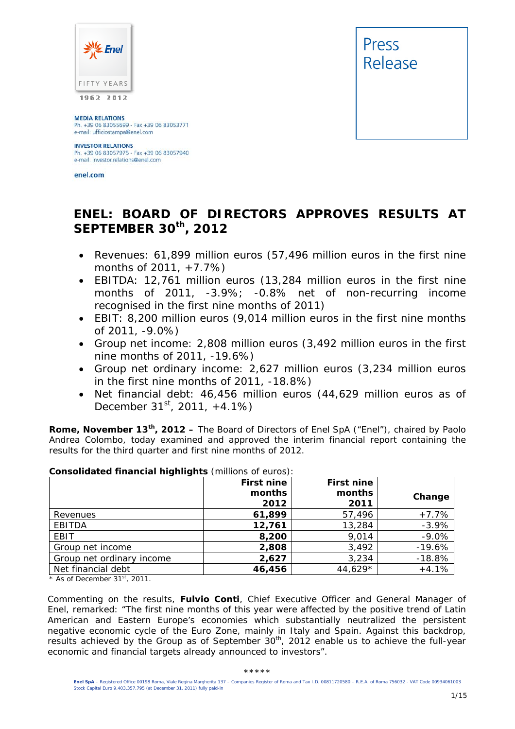

**MEDIA RELATIONS** Ph. +39 06 83055699 - Fax +39 06 83053771<br>e-mail: ufficiostampa@enel.com

#### **INVESTOR RELATIONS**

Ph. +39 06 83057975 - Fax +39 06 83057940 e-mail: investor.relations@enel.com

enel.com



# **ENEL: BOARD OF DIRECTORS APPROVES RESULTS AT SEPTEMBER 30th, 2012**

- *Revenues: 61,899 million euros (57,496 million euros in the first nine months of 2011, +7.7%)*
- *EBITDA: 12,761 million euros (13,284 million euros in the first nine months of 2011, -3.9%; -0.8% net of non-recurring income recognised in the first nine months of 2011)*
- *EBIT: 8,200 million euros (9,014 million euros in the first nine months of 2011, -9.0%)*
- *Group net income: 2,808 million euros (3,492 million euros in the first nine months of 2011, -19.6%)*
- *Group net ordinary income: 2,627 million euros (3,234 million euros in the first nine months of 2011, -18.8%)*
- *Net financial debt: 46,456 million euros (44,629 million euros as of December 31st, 2011, +4.1%)*

**Rome, November 13th, 2012 –** The Board of Directors of Enel SpA ("Enel"), chaired by Paolo Andrea Colombo, today examined and approved the interim financial report containing the results for the third quarter and first nine months of 2012.

| Consolidated Hinancial Highlights (Infilions of editos): | <b>First nine</b> | First nine     |          |
|----------------------------------------------------------|-------------------|----------------|----------|
|                                                          | months<br>2012    | months<br>2011 | Change   |
| Revenues                                                 | 61,899            | 57,496         | $+7.7%$  |
| <b>EBITDA</b>                                            | 12,761            | 13,284         | $-3.9%$  |
| EBIT                                                     | 8,200             | 9,014          | $-9.0%$  |
| Group net income                                         | 2,808             | 3,492          | $-19.6%$ |
| Group net ordinary income                                | 2,627             | 3,234          | $-18.8%$ |
| Net financial debt                                       | 46,456            | 44,629*        | $+4.1%$  |

### **Consolidated financial highlights** (millions of euros):

*\* As of December 31st, 2011.* 

Commenting on the results, **Fulvio Conti**, Chief Executive Officer and General Manager of Enel, remarked: *"The first nine months of this year were affected by the positive trend of Latin American and Eastern Europe's economies which substantially neutralized the persistent negative economic cycle of the Euro Zone, mainly in Italy and Spain. Against this backdrop, results achieved by the Group as of September 30th, 2012 enable us to achieve the full-year economic and financial targets already announced to investors*".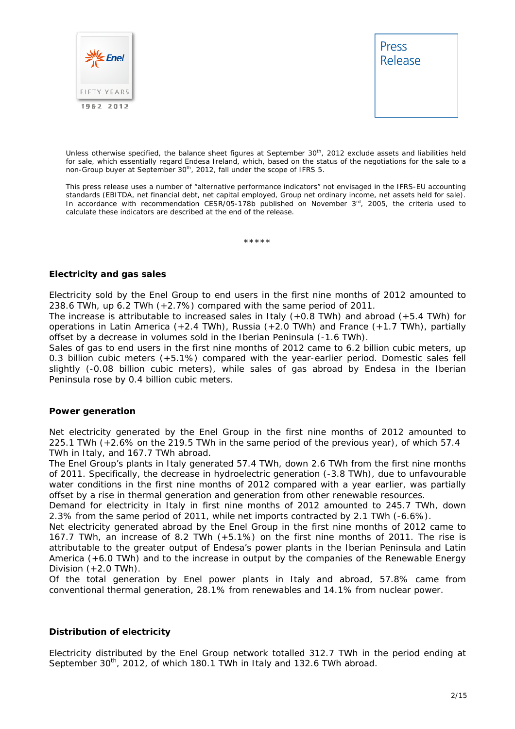



Unless otherwise specified, the balance sheet figures at September 30<sup>th</sup>, 2012 exclude assets and liabilities held for sale, which essentially regard Endesa Ireland, which, based on the status of the negotiations for the sale to a non-Group buyer at September 30<sup>th</sup>, 2012, fall under the scope of IFRS 5.

This press release uses a number of "alternative performance indicators" not envisaged in the IFRS-EU accounting standards (EBITDA, net financial debt, net capital employed, Group net ordinary income, net assets held for sale). In accordance with recommendation CESR/05-178b published on November  $3<sup>rd</sup>$ , 2005, the criteria used to calculate these indicators are described at the end of the release.

\*\*\*\*\*

#### **Electricity and gas sales**

Electricity sold by the Enel Group to end users in the first nine months of 2012 amounted to 238.6 TWh, up 6.2 TWh (+2.7%) compared with the same period of 2011.

The increase is attributable to increased sales in Italy (+0.8 TWh) and abroad (+5.4 TWh) for operations in Latin America (+2.4 TWh), Russia (+2.0 TWh) and France (+1.7 TWh), partially offset by a decrease in volumes sold in the Iberian Peninsula (-1.6 TWh).

Sales of gas to end users in the first nine months of 2012 came to 6.2 billion cubic meters, up 0.3 billion cubic meters (+5.1%) compared with the year-earlier period. Domestic sales fell slightly (-0.08 billion cubic meters), while sales of gas abroad by Endesa in the Iberian Peninsula rose by 0.4 billion cubic meters.

#### **Power generation**

Net electricity generated by the Enel Group in the first nine months of 2012 amounted to 225.1 TWh (+2.6% on the 219.5 TWh in the same period of the previous year), of which 57.4 TWh in Italy, and 167.7 TWh abroad.

The Enel Group's plants in Italy generated 57.4 TWh, down 2.6 TWh from the first nine months of 2011. Specifically, the decrease in hydroelectric generation (-3.8 TWh), due to unfavourable water conditions in the first nine months of 2012 compared with a year earlier, was partially offset by a rise in thermal generation and generation from other renewable resources.

Demand for electricity in Italy in first nine months of 2012 amounted to 245.7 TWh, down 2.3% from the same period of 2011, while net imports contracted by 2.1 TWh (-6.6%).

Net electricity generated abroad by the Enel Group in the first nine months of 2012 came to 167.7 TWh, an increase of 8.2 TWh (+5.1%) on the first nine months of 2011. The rise is attributable to the greater output of Endesa's power plants in the Iberian Peninsula and Latin America (+6.0 TWh) and to the increase in output by the companies of the Renewable Energy Division  $(+2.0$  TWh $)$ .

Of the total generation by Enel power plants in Italy and abroad, 57.8% came from conventional thermal generation, 28.1% from renewables and 14.1% from nuclear power.

#### **Distribution of electricity**

Electricity distributed by the Enel Group network totalled 312.7 TWh in the period ending at September  $30<sup>th</sup>$ , 2012, of which 180.1 TWh in Italy and 132.6 TWh abroad.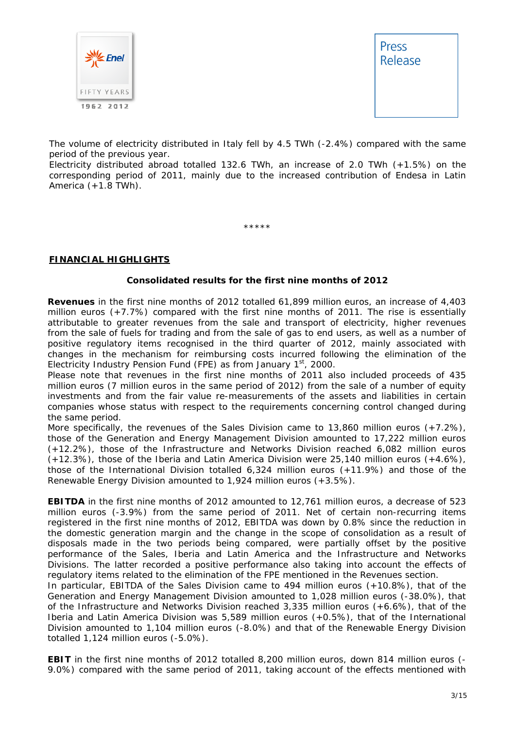



The volume of electricity distributed in Italy fell by 4.5 TWh (-2.4%) compared with the same period of the previous year.

Electricity distributed abroad totalled 132.6 TWh, an increase of 2.0 TWh (+1.5%) on the corresponding period of 2011, mainly due to the increased contribution of Endesa in Latin America  $(+1.8$  TWh).

\*\*\*\*\*

#### **FINANCIAL HIGHLIGHTS**

#### **Consolidated results for the first nine months of 2012**

**Revenues** in the first nine months of 2012 totalled 61,899 million euros, an increase of 4,403 million euros (+7.7%) compared with the first nine months of 2011. The rise is essentially attributable to greater revenues from the sale and transport of electricity, higher revenues from the sale of fuels for trading and from the sale of gas to end users, as well as a number of positive regulatory items recognised in the third quarter of 2012, mainly associated with changes in the mechanism for reimbursing costs incurred following the elimination of the Electricity Industry Pension Fund (FPE) as from January  $1<sup>st</sup>$ , 2000.

Please note that revenues in the first nine months of 2011 also included proceeds of 435 million euros (7 million euros in the same period of 2012) from the sale of a number of equity investments and from the fair value re-measurements of the assets and liabilities in certain companies whose status with respect to the requirements concerning control changed during the same period.

More specifically, the revenues of the Sales Division came to 13,860 million euros (+7.2%), those of the Generation and Energy Management Division amounted to 17,222 million euros (+12.2%), those of the Infrastructure and Networks Division reached 6,082 million euros (+12.3%), those of the Iberia and Latin America Division were 25,140 million euros (+4.6%), those of the International Division totalled 6,324 million euros (+11.9%) and those of the Renewable Energy Division amounted to 1,924 million euros (+3.5%).

**EBITDA** in the first nine months of 2012 amounted to 12,761 million euros, a decrease of 523 million euros (-3.9%) from the same period of 2011. Net of certain non-recurring items registered in the first nine months of 2012, EBITDA was down by 0.8% since the reduction in the domestic generation margin and the change in the scope of consolidation as a result of disposals made in the two periods being compared, were partially offset by the positive performance of the Sales, Iberia and Latin America and the Infrastructure and Networks Divisions. The latter recorded a positive performance also taking into account the effects of regulatory items related to the elimination of the FPE mentioned in the Revenues section.

In particular, EBITDA of the Sales Division came to 494 million euros (+10.8%), that of the Generation and Energy Management Division amounted to 1,028 million euros (-38.0%), that of the Infrastructure and Networks Division reached 3,335 million euros (+6.6%), that of the Iberia and Latin America Division was 5,589 million euros (+0.5%), that of the International Division amounted to 1,104 million euros (-8.0%) and that of the Renewable Energy Division totalled 1,124 million euros (-5.0%).

**EBIT** in the first nine months of 2012 totalled 8,200 million euros, down 814 million euros (- 9.0%) compared with the same period of 2011, taking account of the effects mentioned with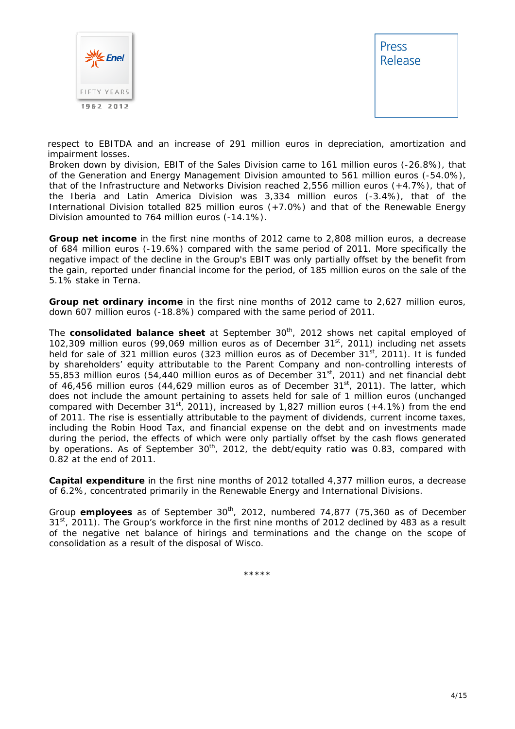



respect to EBITDA and an increase of 291 million euros in depreciation, amortization and impairment losses.

Broken down by division, EBIT of the Sales Division came to 161 million euros (-26.8%), that of the Generation and Energy Management Division amounted to 561 million euros (-54.0%), that of the Infrastructure and Networks Division reached 2,556 million euros (+4.7%), that of the Iberia and Latin America Division was 3,334 million euros (-3.4%), that of the International Division totalled 825 million euros (+7.0%) and that of the Renewable Energy Division amounted to 764 million euros (-14.1%).

**Group net income** in the first nine months of 2012 came to 2,808 million euros, a decrease of 684 million euros (-19.6%) compared with the same period of 2011. More specifically the negative impact of the decline in the Group's EBIT was only partially offset by the benefit from the gain, reported under financial income for the period, of 185 million euros on the sale of the 5.1% stake in Terna.

**Group net ordinary income** in the first nine months of 2012 came to 2,627 million euros, down 607 million euros (-18.8%) compared with the same period of 2011.

The **consolidated balance sheet** at September 30<sup>th</sup>, 2012 shows net capital employed of 102,309 million euros (99,069 million euros as of December 31 $^{\rm st}$ , 2011) including net assets held for sale of 321 million euros (323 million euros as of December 31<sup>st</sup>, 2011). It is funded by shareholders' equity attributable to the Parent Company and non-controlling interests of 55,853 million euros (54,440 million euros as of December  $31<sup>st</sup>$ , 2011) and net financial debt of 46,456 million euros (44,629 million euros as of December 31 $^{\rm st}$ , 2011). The latter, which does not include the amount pertaining to assets held for sale of 1 million euros (unchanged compared with December 31<sup>st</sup>, 2011), increased by 1,827 million euros (+4.1%) from the end of 2011. The rise is essentially attributable to the payment of dividends, current income taxes, including the Robin Hood Tax, and financial expense on the debt and on investments made during the period, the effects of which were only partially offset by the cash flows generated by operations. As of September 30<sup>th</sup>, 2012, the debt/equity ratio was 0.83, compared with 0.82 at the end of 2011.

**Capital expenditure** in the first nine months of 2012 totalled 4,377 million euros, a decrease of 6.2%, concentrated primarily in the Renewable Energy and International Divisions.

Group **employees** as of September 30<sup>th</sup>, 2012, numbered 74,877 (75,360 as of December  $31<sup>st</sup>$ , 2011). The Group's workforce in the first nine months of 2012 declined by 483 as a result of the negative net balance of hirings and terminations and the change on the scope of consolidation as a result of the disposal of Wisco.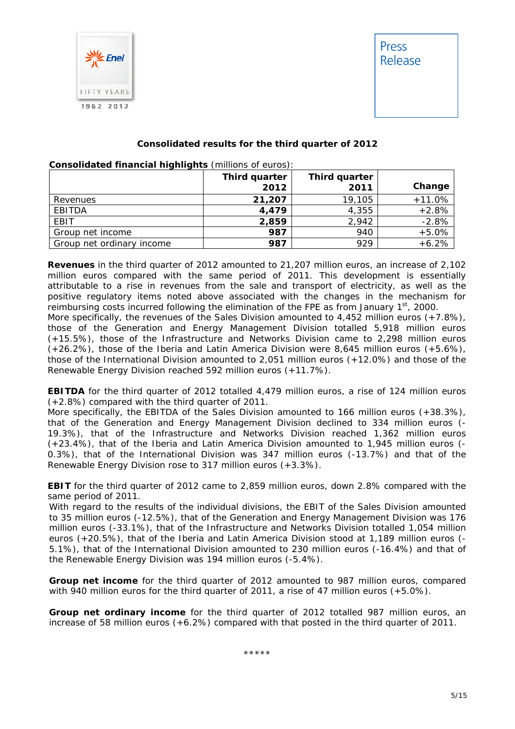

#### **Consolidated results for the third quarter of 2012**

|                           | Third quarter<br>2012 | Third quarter<br>2011 | Change   |
|---------------------------|-----------------------|-----------------------|----------|
| Revenues                  | 21,207                | 19,105                | $+11.0%$ |
| EBITDA                    | 4,479                 | 4,355                 | $+2.8%$  |
| EBIT                      | 2,859                 | 2,942                 | $-2.8%$  |
| Group net income          | 987                   | 940                   | $+5.0%$  |
| Group net ordinary income | 987                   | 929                   | $+6.2%$  |

#### **Consolidated financial highlights** (millions of euros):

**Revenues** in the third quarter of 2012 amounted to 21,207 million euros, an increase of 2,102 million euros compared with the same period of 2011. This development is essentially attributable to a rise in revenues from the sale and transport of electricity, as well as the positive regulatory items noted above associated with the changes in the mechanism for reimbursing costs incurred following the elimination of the FPE as from January  $1<sup>st</sup>$ , 2000.

More specifically, the revenues of the Sales Division amounted to 4,452 million euros (+7.8%), those of the Generation and Energy Management Division totalled 5,918 million euros (+15.5%), those of the Infrastructure and Networks Division came to 2,298 million euros (+26.2%), those of the Iberia and Latin America Division were 8,645 million euros (+5.6%), those of the International Division amounted to 2,051 million euros (+12.0%) and those of the Renewable Energy Division reached 592 million euros (+11.7%).

**EBITDA** for the third quarter of 2012 totalled 4,479 million euros, a rise of 124 million euros (+2.8%) compared with the third quarter of 2011.

More specifically, the EBITDA of the Sales Division amounted to 166 million euros (+38.3%), that of the Generation and Energy Management Division declined to 334 million euros (- 19.3%), that of the Infrastructure and Networks Division reached 1,362 million euros (+23.4%), that of the Iberia and Latin America Division amounted to 1,945 million euros (- 0.3%), that of the International Division was 347 million euros (-13.7%) and that of the Renewable Energy Division rose to 317 million euros (+3.3%).

**EBIT** for the third quarter of 2012 came to 2,859 million euros, down 2.8% compared with the same period of 2011.

With regard to the results of the individual divisions, the EBIT of the Sales Division amounted to 35 million euros (-12.5%), that of the Generation and Energy Management Division was 176 million euros (-33.1%), that of the Infrastructure and Networks Division totalled 1,054 million euros (+20.5%), that of the Iberia and Latin America Division stood at 1,189 million euros (- 5.1%), that of the International Division amounted to 230 million euros (-16.4%) and that of the Renewable Energy Division was 194 million euros (-5.4%).

**Group net income** for the third quarter of 2012 amounted to 987 million euros, compared with 940 million euros for the third quarter of 2011, a rise of 47 million euros (+5.0%).

**Group net ordinary income** for the third quarter of 2012 totalled 987 million euros, an increase of 58 million euros (+6.2%) compared with that posted in the third quarter of 2011.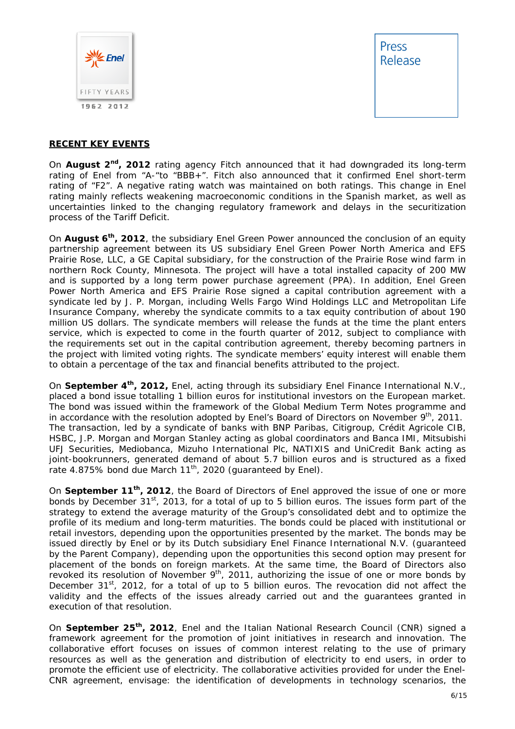

#### **RECENT KEY EVENTS**

On **August 2nd, 2012** rating agency Fitch announced that it had downgraded its long-term rating of Enel from "A-"to "BBB+". Fitch also announced that it confirmed Enel short-term rating of "F2". A negative rating watch was maintained on both ratings. This change in Enel rating mainly reflects weakening macroeconomic conditions in the Spanish market, as well as uncertainties linked to the changing regulatory framework and delays in the securitization process of the Tariff Deficit.

On **August 6th, 2012**, the subsidiary Enel Green Power announced the conclusion of an equity partnership agreement between its US subsidiary Enel Green Power North America and EFS Prairie Rose, LLC, a GE Capital subsidiary, for the construction of the Prairie Rose wind farm in northern Rock County, Minnesota. The project will have a total installed capacity of 200 MW and is supported by a long term power purchase agreement (PPA). In addition, Enel Green Power North America and EFS Prairie Rose signed a capital contribution agreement with a syndicate led by J. P. Morgan, including Wells Fargo Wind Holdings LLC and Metropolitan Life Insurance Company, whereby the syndicate commits to a tax equity contribution of about 190 million US dollars. The syndicate members will release the funds at the time the plant enters service, which is expected to come in the fourth quarter of 2012, subject to compliance with the requirements set out in the capital contribution agreement, thereby becoming partners in the project with limited voting rights. The syndicate members' equity interest will enable them to obtain a percentage of the tax and financial benefits attributed to the project.

On **September 4th, 2012,** Enel, acting through its subsidiary Enel Finance International N.V., placed a bond issue totalling 1 billion euros for institutional investors on the European market. The bond was issued within the framework of the Global Medium Term Notes programme and in accordance with the resolution adopted by Enel's Board of Directors on November 9<sup>th</sup>, 2011. The transaction, led by a syndicate of banks with BNP Paribas, Citigroup, Crédit Agricole CIB, HSBC, J.P. Morgan and Morgan Stanley acting as global coordinators and Banca IMI, Mitsubishi UFJ Securities, Mediobanca, Mizuho International Plc, NATIXIS and UniCredit Bank acting as joint-bookrunners, generated demand of about 5.7 billion euros and is structured as a fixed rate 4.875% bond due March  $11^{th}$ , 2020 (guaranteed by Enel).

On **September 11th, 2012**, the Board of Directors of Enel approved the issue of one or more bonds by December 31<sup>st</sup>, 2013, for a total of up to 5 billion euros. The issues form part of the strategy to extend the average maturity of the Group's consolidated debt and to optimize the profile of its medium and long-term maturities. The bonds could be placed with institutional or retail investors, depending upon the opportunities presented by the market. The bonds may be issued directly by Enel or by its Dutch subsidiary Enel Finance International N.V. (guaranteed by the Parent Company), depending upon the opportunities this second option may present for placement of the bonds on foreign markets. At the same time, the Board of Directors also revoked its resolution of November  $9<sup>th</sup>$ , 2011, authorizing the issue of one or more bonds by December  $31^{st}$ , 2012, for a total of up to 5 billion euros. The revocation did not affect the validity and the effects of the issues already carried out and the guarantees granted in execution of that resolution.

On **September 25th, 2012**, Enel and the Italian National Research Council (CNR) signed a framework agreement for the promotion of joint initiatives in research and innovation. The collaborative effort focuses on issues of common interest relating to the use of primary resources as well as the generation and distribution of electricity to end users, in order to promote the efficient use of electricity. The collaborative activities provided for under the Enel-CNR agreement, envisage: the identification of developments in technology scenarios, the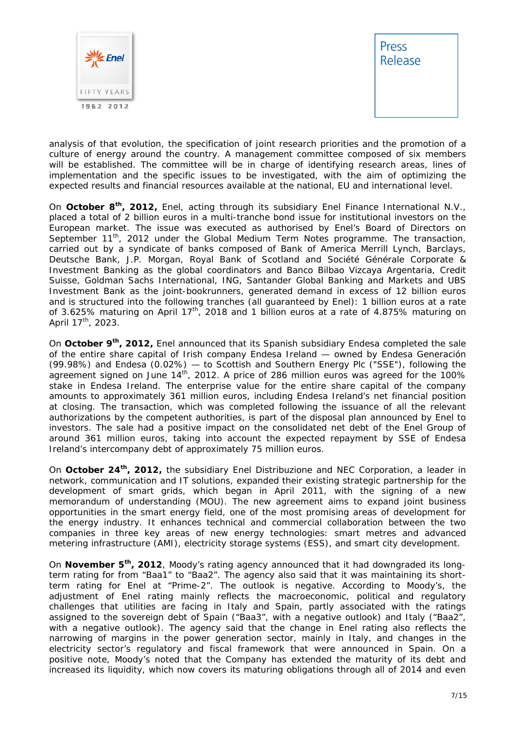

analysis of that evolution, the specification of joint research priorities and the promotion of a culture of energy around the country. A management committee composed of six members will be established. The committee will be in charge of identifying research areas, lines of implementation and the specific issues to be investigated, with the aim of optimizing the expected results and financial resources available at the national, EU and international level.

On **October 8th, 2012,** Enel, acting through its subsidiary Enel Finance International N.V., placed a total of 2 billion euros in a multi-tranche bond issue for institutional investors on the European market. The issue was executed as authorised by Enel's Board of Directors on September 11<sup>th</sup>, 2012 under the Global Medium Term Notes programme. The transaction, carried out by a syndicate of banks composed of Bank of America Merrill Lynch, Barclays, Deutsche Bank, J.P. Morgan, Royal Bank of Scotland and Société Générale Corporate & Investment Banking as the global coordinators and Banco Bilbao Vizcaya Argentaria, Credit Suisse, Goldman Sachs International, ING, Santander Global Banking and Markets and UBS Investment Bank as the joint-bookrunners, generated demand in excess of 12 billion euros and is structured into the following tranches (all guaranteed by Enel): 1 billion euros at a rate of 3.625% maturing on April 17<sup>th</sup>, 2018 and 1 billion euros at a rate of 4.875% maturing on April  $17^{th}$ , 2023.

On **October 9th, 2012,** Enel announced that its Spanish subsidiary Endesa completed the sale of the entire share capital of Irish company Endesa Ireland — owned by Endesa Generación (99.98%) and Endesa (0.02%) — to Scottish and Southern Energy Plc ("SSE"), following the agreement signed on June  $14<sup>th</sup>$ , 2012. A price of 286 million euros was agreed for the 100% stake in Endesa Ireland. The enterprise value for the entire share capital of the company amounts to approximately 361 million euros, including Endesa Ireland's net financial position at closing. The transaction, which was completed following the issuance of all the relevant authorizations by the competent authorities, is part of the disposal plan announced by Enel to investors. The sale had a positive impact on the consolidated net debt of the Enel Group of around 361 million euros, taking into account the expected repayment by SSE of Endesa Ireland's intercompany debt of approximately 75 million euros.

On **October 24th, 2012,** the subsidiary Enel Distribuzione and NEC Corporation, a leader in network, communication and IT solutions, expanded their existing strategic partnership for the development of smart grids, which began in April 2011, with the signing of a new memorandum of understanding (MOU). The new agreement aims to expand joint business opportunities in the smart energy field, one of the most promising areas of development for the energy industry. It enhances technical and commercial collaboration between the two companies in three key areas of new energy technologies: smart metres and advanced metering infrastructure (AMI), electricity storage systems (ESS), and smart city development.

On **November 5th, 2012**, Moody's rating agency announced that it had downgraded its longterm rating for from "Baa1" to "Baa2". The agency also said that it was maintaining its shortterm rating for Enel at "Prime-2". The outlook is negative. According to Moody's, the adjustment of Enel rating mainly reflects the macroeconomic, political and regulatory challenges that utilities are facing in Italy and Spain, partly associated with the ratings assigned to the sovereign debt of Spain ("Baa3", with a negative outlook) and Italy ("Baa2", with a negative outlook). The agency said that the change in Enel rating also reflects the narrowing of margins in the power generation sector, mainly in Italy, and changes in the electricity sector's regulatory and fiscal framework that were announced in Spain. On a positive note, Moody's noted that the Company has extended the maturity of its debt and increased its liquidity, which now covers its maturing obligations through all of 2014 and even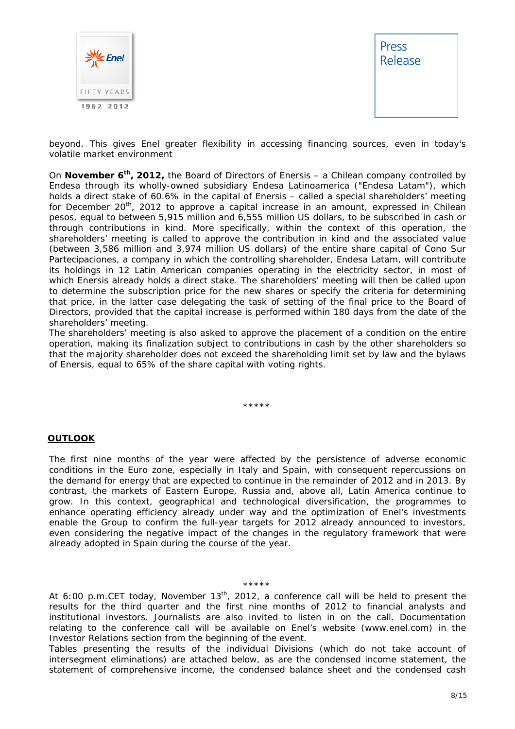



beyond. This gives Enel greater flexibility in accessing financing sources, even in today's volatile market environment

On **November 6th, 2012,** the Board of Directors of Enersis – a Chilean company controlled by Endesa through its wholly-owned subsidiary Endesa Latinoamerica ("Endesa Latam"), which holds a direct stake of 60.6% in the capital of Enersis – called a special shareholders' meeting for December  $20<sup>th</sup>$ , 2012 to approve a capital increase in an amount, expressed in Chilean pesos, equal to between 5,915 million and 6,555 million US dollars, to be subscribed in cash or through contributions in kind. More specifically, within the context of this operation, the shareholders' meeting is called to approve the contribution in kind and the associated value (between 3,586 million and 3,974 million US dollars) of the entire share capital of Cono Sur Partecipaciones, a company in which the controlling shareholder, Endesa Latam, will contribute its holdings in 12 Latin American companies operating in the electricity sector, in most of which Enersis already holds a direct stake. The shareholders' meeting will then be called upon to determine the subscription price for the new shares or specify the criteria for determining that price, in the latter case delegating the task of setting of the final price to the Board of Directors, provided that the capital increase is performed within 180 days from the date of the shareholders' meeting.

The shareholders' meeting is also asked to approve the placement of a condition on the entire operation, making its finalization subject to contributions in cash by the other shareholders so that the majority shareholder does not exceed the shareholding limit set by law and the bylaws of Enersis, equal to 65% of the share capital with voting rights.

#### \*\*\*\*\*

#### **OUTLOOK**

The first nine months of the year were affected by the persistence of adverse economic conditions in the Euro zone, especially in Italy and Spain, with consequent repercussions on the demand for energy that are expected to continue in the remainder of 2012 and in 2013. By contrast, the markets of Eastern Europe, Russia and, above all, Latin America continue to grow. In this context, geographical and technological diversification, the programmes to enhance operating efficiency already under way and the optimization of Enel's investments enable the Group to confirm the full-year targets for 2012 already announced to investors, even considering the negative impact of the changes in the regulatory framework that were already adopted in Spain during the course of the year.

#### \*\*\*\*\*

*At 6:00 p.m.CET today, November 13th, 2012, a conference call will be held to present the results for the third quarter and the first nine months of 2012 to financial analysts and institutional investors. Journalists are also invited to listen in on the call. Documentation relating to the conference call will be available on Enel's website (www.enel.com) in the Investor Relations section from the beginning of the event.* 

*Tables presenting the results of the individual Divisions (which do not take account of intersegment eliminations) are attached below, as are the condensed income statement, the statement of comprehensive income, the condensed balance sheet and the condensed cash*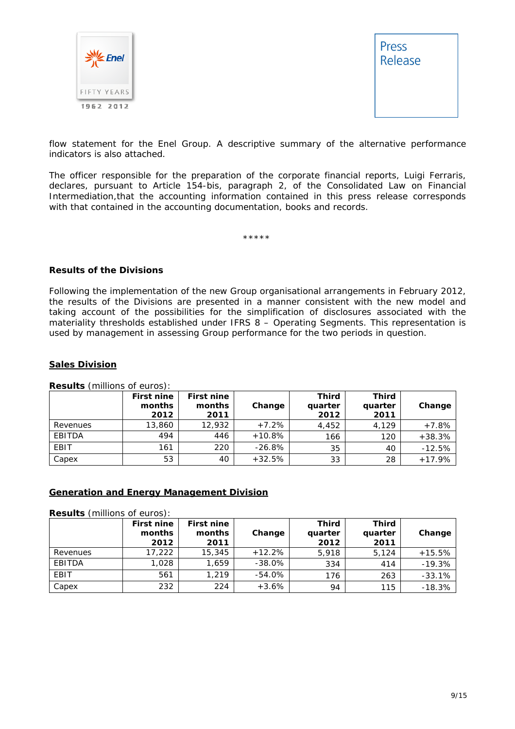



*flow statement for the Enel Group. A descriptive summary of the alternative performance indicators is also attached.* 

*The officer responsible for the preparation of the corporate financial reports, Luigi Ferraris, declares, pursuant to Article 154-bis, paragraph 2, of the Consolidated Law on Financial Intermediation,that the accounting information contained in this press release corresponds with that contained in the accounting documentation, books and records.* 

\*\*\*\*\*

#### **Results of the Divisions**

Following the implementation of the new Group organisational arrangements in February 2012, the results of the Divisions are presented in a manner consistent with the new model and taking account of the possibilities for the simplification of disclosures associated with the materiality thresholds established under IFRS 8 – Operating Segments. This representation is used by management in assessing Group performance for the two periods in question.

#### **Sales Division**

|             | <b>First nine</b><br>months<br>2012 | <b>First nine</b><br>months<br>2011 | Change   | <b>Third</b><br>quarter<br>2012 | Third<br>quarter<br>2011 | Change   |
|-------------|-------------------------------------|-------------------------------------|----------|---------------------------------|--------------------------|----------|
| Revenues    | 13,860                              | 12.932                              | $+7.2%$  | 4,452                           | 4.129                    | $+7.8%$  |
| EBITDA      | 494                                 | 446                                 | $+10.8%$ | 166                             | 120                      | $+38.3%$ |
| <b>EBIT</b> | 161                                 | 220                                 | $-26.8%$ | 35                              | 40                       | $-12.5%$ |
| Capex       | 53                                  | 40                                  | $+32.5%$ | 33                              | 28                       | $+17.9%$ |

**Results** (millions of euros):

#### **Generation and Energy Management Division**

**Results** (millions of euros):

|          | <b>First nine</b><br>months<br>2012 | <b>First nine</b><br>months<br>2011 | Change    | <b>Third</b><br>quarter<br>2012 | <b>Third</b><br>quarter<br>2011 | Change   |
|----------|-------------------------------------|-------------------------------------|-----------|---------------------------------|---------------------------------|----------|
| Revenues | 17,222                              | 15,345                              | $+12.2%$  | 5,918                           | 5.124                           | $+15.5%$ |
| EBITDA   | 1.028                               | 1.659                               | $-38.0\%$ | 334                             | 414                             | $-19.3%$ |
| EBIT     | 561                                 | 1,219                               | $-54.0\%$ | 176                             | 263                             | $-33.1%$ |
| Capex    | 232                                 | 224                                 | $+3.6%$   | 94                              | 115                             | $-18.3%$ |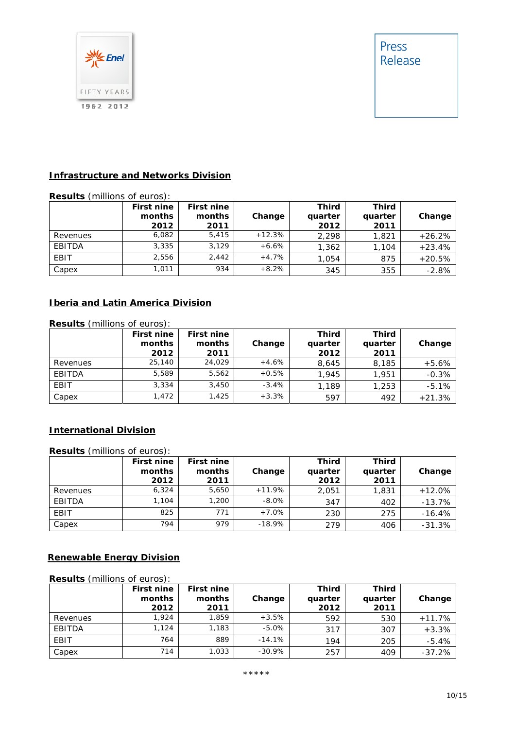

#### **Infrastructure and Networks Division**

### **Results** (millions of euros):

|          | First nine<br>months<br>2012 | <b>First nine</b><br>months<br>2011 | Change   | Third<br>quarter<br>2012 | <b>Third</b><br>quarter<br>2011 | Change   |
|----------|------------------------------|-------------------------------------|----------|--------------------------|---------------------------------|----------|
| Revenues | 6,082                        | 5.415                               | $+12.3%$ | 2.298                    | 1,821                           | $+26.2%$ |
| EBITDA   | 3,335                        | 3.129                               | $+6.6%$  | 1,362                    | 1,104                           | $+23.4%$ |
| EBIT     | 2.556                        | 2.442                               | $+4.7%$  | 1,054                    | 875                             | $+20.5%$ |
| Capex    | 1,011                        | 934                                 | $+8.2%$  | 345                      | 355                             | $-2.8%$  |

### **Iberia and Latin America Division**

| <b>Results</b> (millions of euros): |                                     |                                     |         |                          |                          |          |  |
|-------------------------------------|-------------------------------------|-------------------------------------|---------|--------------------------|--------------------------|----------|--|
|                                     | <b>First nine</b><br>months<br>2012 | <b>First nine</b><br>months<br>2011 | Change  | Third<br>quarter<br>2012 | Third<br>quarter<br>2011 | Change   |  |
| Revenues                            | 25,140                              | 24.029                              | $+4.6%$ | 8,645                    | 8,185                    | $+5.6%$  |  |
| EBITDA                              | 5.589                               | 5,562                               | $+0.5%$ | 1.945                    | 1,951                    | $-0.3%$  |  |
| <b>EBIT</b>                         | 3,334                               | 3,450                               | $-3.4%$ | 1,189                    | 1,253                    | $-5.1%$  |  |
| Capex                               | 1,472                               | 1,425                               | $+3.3%$ | 597                      | 492                      | $+21.3%$ |  |

### **International Division**

**Results** (millions of euros):

|          | <b>First nine</b><br>months<br>2012 | <b>First nine</b><br>months<br>2011 | Change   | Third<br>quarter<br>2012 | <b>Third</b><br>quarter<br>2011 | Change   |
|----------|-------------------------------------|-------------------------------------|----------|--------------------------|---------------------------------|----------|
| Revenues | 6.324                               | 5,650                               | $+11.9%$ | 2,051                    | 1,831                           | $+12.0%$ |
| EBITDA   | 1.104                               | 1,200                               | $-8.0\%$ | 347                      | 402                             | $-13.7%$ |
| EBIT     | 825                                 | 771                                 | $+7.0%$  | 230                      | 275                             | $-16.4%$ |
| Capex    | 794                                 | 979                                 | $-18.9%$ | 279                      | 406                             | $-31.3%$ |

#### **Renewable Energy Division**

#### **Results** (millions of euros):

|          | <b>First nine</b><br>months<br>2012 | <b>First nine</b><br>months<br>2011 | Change    | Third<br>quarter<br>2012 | Third<br>quarter<br>2011 | Change   |
|----------|-------------------------------------|-------------------------------------|-----------|--------------------------|--------------------------|----------|
| Revenues | 1.924                               | 1,859                               | $+3.5%$   | 592                      | 530                      | $+11.7%$ |
| EBITDA   | 1.124                               | 1,183                               | $-5.0\%$  | 317                      | 307                      | $+3.3%$  |
| EBIT     | 764                                 | 889                                 | $-14.1%$  | 194                      | 205                      | $-5.4%$  |
| Capex    | 714                                 | 1,033                               | $-30.9\%$ | 257                      | 409                      | $-37.2%$ |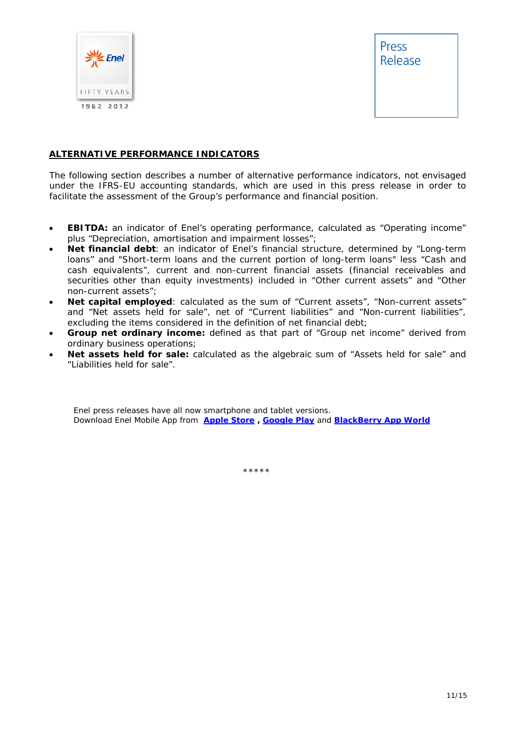

#### **ALTERNATIVE PERFORMANCE INDICATORS**

The following section describes a number of alternative performance indicators, not envisaged under the IFRS-EU accounting standards, which are used in this press release in order to facilitate the assessment of the Group's performance and financial position.

- **EBITDA:** an indicator of Enel's operating performance, calculated as "Operating income" plus "Depreciation, amortisation and impairment losses";
- **Net financial debt**: an indicator of Enel's financial structure, determined by "Long-term loans" and "Short-term loans and the current portion of long-term loans" less "Cash and cash equivalents", current and non-current financial assets (financial receivables and securities other than equity investments) included in "Other current assets" and "Other non-current assets";
- **Net capital employed**: calculated as the sum of "Current assets", "Non-current assets" and "Net assets held for sale", net of "Current liabilities" and "Non-current liabilities", excluding the items considered in the definition of net financial debt;
- **Group net ordinary income:** defined as that part of "Group net income" derived from ordinary business operations;
- **Net assets held for sale:** calculated as the algebraic sum of "Assets held for sale" and "Liabilities held for sale".

Enel press releases have all now smartphone and tablet versions. Download Enel Mobile App from **Apple Store , Google Play** and **BlackBerry App World**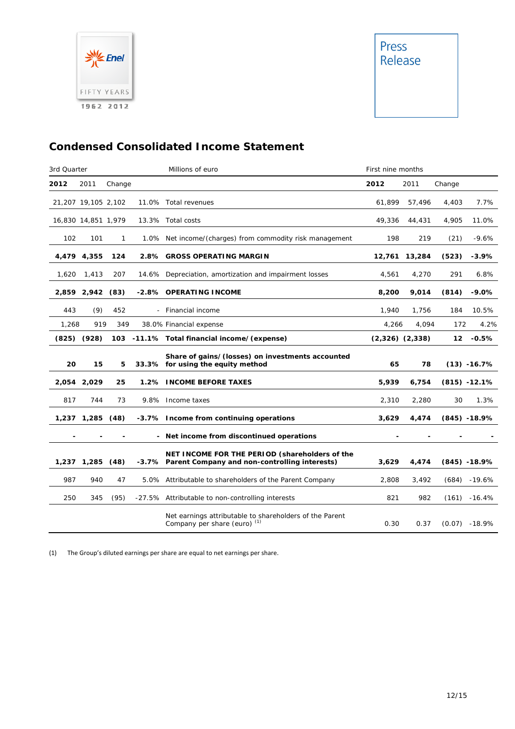

## **Condensed Consolidated Income Statement**

| 3rd Quarter |                     |        | Millions of euro                                                                                      | First nine months   |        |        |                 |
|-------------|---------------------|--------|-------------------------------------------------------------------------------------------------------|---------------------|--------|--------|-----------------|
| 2012        | 2011                | Change |                                                                                                       | 2012                | 2011   | Change |                 |
|             | 21,207 19,105 2,102 |        | 11.0% Total revenues                                                                                  | 61,899              | 57,496 | 4,403  | 7.7%            |
|             | 16,830 14,851 1,979 |        | 13.3% Total costs                                                                                     | 49,336              | 44,431 | 4,905  | 11.0%           |
| 102         | 101                 | 1      | 1.0% Net income/(charges) from commodity risk management                                              | 198                 | 219    | (21)   | $-9.6%$         |
|             | 4,479 4,355         | 124    | 2.8% GROSS OPERATING MARGIN                                                                           | 12,761              | 13,284 | (523)  | $-3.9%$         |
| 1,620       | 1,413               | 207    | 14.6% Depreciation, amortization and impairment losses                                                | 4,561               | 4,270  | 291    | 6.8%            |
|             | 2,859 2,942 (83)    |        | -2.8% OPERATING INCOME                                                                                | 8,200               | 9,014  | (814)  | $-9.0%$         |
| 443         | (9)                 | 452    | - Financial income                                                                                    | 1,940               | 1,756  | 184    | 10.5%           |
| 1,268       | 919                 | 349    | 38.0% Financial expense                                                                               | 4,266               | 4,094  | 172    | 4.2%            |
|             | $(825)$ $(928)$     |        | 103 -11.1% Total financial income/(expense)                                                           | $(2,326)$ $(2,338)$ |        | 12     | $-0.5%$         |
| 20          | 15                  | 5      | Share of gains/(losses) on investments accounted<br>33.3% for using the equity method                 | 65                  | 78     |        | $(13) -16.7%$   |
|             | 2,054 2,029         | 25     | 1.2% INCOME BEFORE TAXES                                                                              | 5,939               | 6,754  |        | $(815) - 12.1%$ |
| 817         | 744                 | 73     | 9.8% Income taxes                                                                                     | 2,310               | 2,280  | 30     | 1.3%            |
|             | 1,237 1,285         | (48)   | -3.7% Income from continuing operations                                                               | 3,629               | 4,474  |        | $(845) - 18.9%$ |
|             |                     |        |                                                                                                       |                     |        |        |                 |
|             |                     |        | - Net income from discontinued operations                                                             |                     |        |        |                 |
|             | 1,237 1,285         | (48)   | NET INCOME FOR THE PERIOD (shareholders of the<br>-3.7% Parent Company and non-controlling interests) | 3,629               | 4,474  |        | $(845) - 18.9%$ |
| 987         | 940                 | 47     | 5.0% Attributable to shareholders of the Parent Company                                               | 2,808               | 3,492  | (684)  | $-19.6%$        |
| 250         | 345                 | (95)   | -27.5% Attributable to non-controlling interests                                                      | 821                 | 982    | (161)  | $-16.4%$        |

(1) The Group's diluted earnings per share are equal to net earnings per share.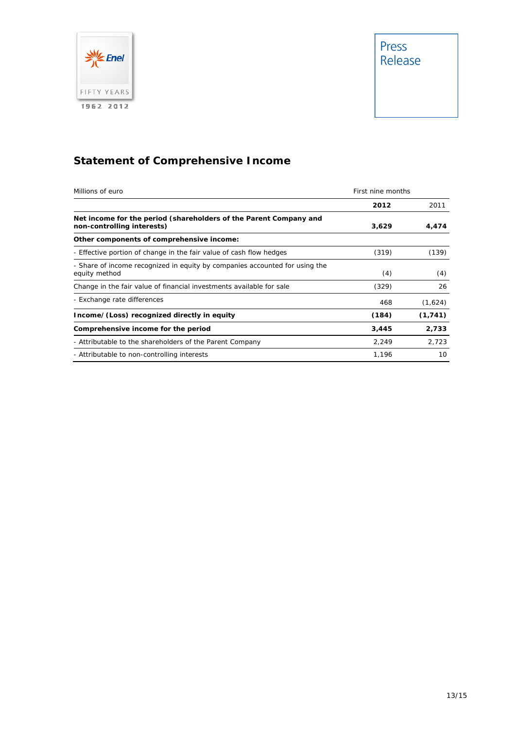

# **Statement of Comprehensive Income**

| Millions of euro                                                                                | First nine months |          |
|-------------------------------------------------------------------------------------------------|-------------------|----------|
|                                                                                                 | 2012              | 2011     |
| Net income for the period (shareholders of the Parent Company and<br>non-controlling interests) | 3,629             | 4,474    |
| Other components of comprehensive income:                                                       |                   |          |
| - Effective portion of change in the fair value of cash flow hedges                             | (319)             | (139)    |
| - Share of income recognized in equity by companies accounted for using the<br>equity method    | (4)               | (4)      |
| Change in the fair value of financial investments available for sale                            | (329)             | 26       |
| - Exchange rate differences                                                                     | 468               | (1,624)  |
| Income/(Loss) recognized directly in equity                                                     | (184)             | (1, 741) |
| Comprehensive income for the period                                                             | 3,445             | 2,733    |
| - Attributable to the shareholders of the Parent Company                                        | 2,249             | 2.723    |
| - Attributable to non-controlling interests                                                     | 1,196             | 10       |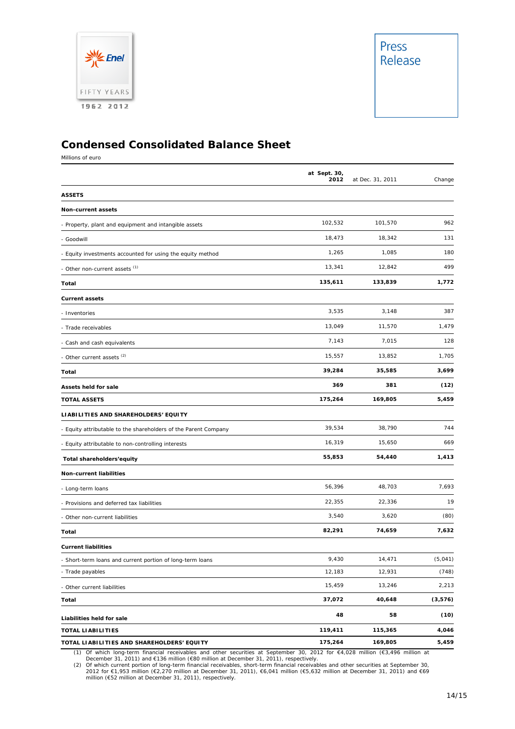

### **Condensed Consolidated Balance Sheet**

Millions of euro

|                                                                 | at Sept. 30,<br>2012 | at Dec. 31, 2011 | Change  |
|-----------------------------------------------------------------|----------------------|------------------|---------|
| <b>ASSETS</b>                                                   |                      |                  |         |
| <b>Non-current assets</b>                                       |                      |                  |         |
| - Property, plant and equipment and intangible assets           | 102,532              | 101,570          | 962     |
| - Goodwill                                                      | 18,473               | 18,342           | 131     |
| - Equity investments accounted for using the equity method      | 1,265                | 1,085            | 180     |
| - Other non-current assets (1)                                  | 13,341               | 12,842           | 499     |
| Total                                                           | 135,611              | 133,839          | 1,772   |
| <b>Current assets</b>                                           |                      |                  |         |
| - Inventories                                                   | 3,535                | 3,148            | 387     |
| - Trade receivables                                             | 13,049               | 11,570           | 1,479   |
| - Cash and cash equivalents                                     | 7,143                | 7,015            | 128     |
| - Other current assets <sup>(2)</sup>                           | 15,557               | 13,852           | 1,705   |
| Total                                                           | 39,284               | 35,585           | 3,699   |
| Assets held for sale                                            | 369                  | 381              | (12)    |
| <b>TOTAL ASSETS</b>                                             | 175,264              | 169,805          | 5,459   |
| LIABILITIES AND SHAREHOLDERS' EQUITY                            |                      |                  |         |
| - Equity attributable to the shareholders of the Parent Company | 39,534               | 38,790           | 744     |
| - Equity attributable to non-controlling interests              | 16,319               | 15,650           | 669     |
| Total shareholders'equity                                       | 55,853               | 54,440           | 1,413   |
| Non-current liabilities                                         |                      |                  |         |
| - Long-term loans                                               | 56,396               | 48,703           | 7,693   |
| - Provisions and deferred tax liabilities                       | 22,355               | 22,336           | 19      |
| - Other non-current liabilities                                 | 3,540                | 3,620            | (80)    |
| Total                                                           | 82,291               | 74,659           | 7,632   |
| <b>Current liabilities</b>                                      |                      |                  |         |
| - Short-term loans and current portion of long-term loans       | 9,430                | 14,471           | (5,041) |
| - Trade payables                                                | 12,183               | 12,931           | (748)   |
| - Other current liabilities                                     | 15,459               | 13,246           | 2,213   |
| Total                                                           | 37,072               | 40,648           | (3,576) |
| Liabilities held for sale                                       | 48                   | 58               | (10)    |
| <b>TOTAL LIABILITIES</b>                                        | 119,411              | 115,365          | 4,046   |
| TOTAL LIABILITIES AND SHAREHOLDERS' EQUITY                      | 175,264              | 169,805          | 5,459   |

(1) Of which long-term financial receivables and other securities at September 30, 2012 for €4,028 million (€3,496 million at December 31, 2011) and €136 million (€80 million at December 31, 2011), respectively.<br>
(2) Of